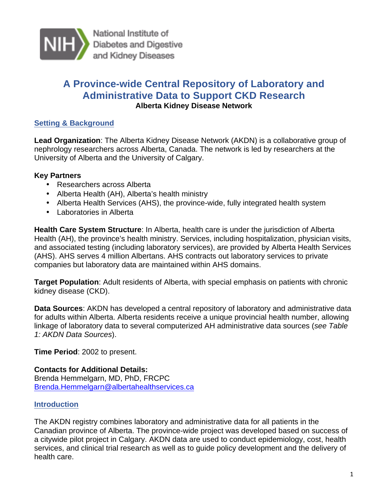

National Institute of Diabetes and Digestive and Kidney Diseases

# **A Province-wide Central Repository of Laboratory and Administrative Data to Support CKD Research Alberta Kidney Disease Network**

## **Setting & Background**

 **Lead Organization**: The Alberta Kidney Disease Network (AKDN) is a collaborative group of nephrology researchers across Alberta, Canada. The network is led by researchers at the University of Alberta and the University of Calgary.

## **Key Partners**

- Researchers across Alberta
- Alberta Health (AH), Alberta's health ministry
- Alberta Health Services (AHS), the province-wide, fully integrated health system
- Laboratories in Alberta

 **Health Care System Structure**: In Alberta, health care is under the jurisdiction of Alberta Health (AH), the province's health ministry. Services, including hospitalization, physician visits, and associated testing (including laboratory services), are provided by Alberta Health Services (AHS). AHS serves 4 million Albertans. AHS contracts out laboratory services to private companies but laboratory data are maintained within AHS domains.

 **Target Population**: Adult residents of Alberta, with special emphasis on patients with chronic kidney disease (CKD).

 **Data Sources**: AKDN has developed a central repository of laboratory and administrative data for adults within Alberta. Alberta residents receive a unique provincial health number, allowing linkage of laboratory data to several computerized AH administrative data sources (*see Table 1: AKDN Data Sources*).

**Time Period**: 2002 to present.

 **Contacts for Additional Details:**  Brenda Hemmelgarn, MD, PhD, FRCPC Brenda.Hemmelgarn@albertahealthservices.ca

## **Introduction**

 The AKDN registry combines laboratory and administrative data for all patients in the Canadian province of Alberta. The province-wide project was developed based on success of a citywide pilot project in Calgary. AKDN data are used to conduct epidemiology, cost, health services, and clinical trial research as well as to guide policy development and the delivery of health care.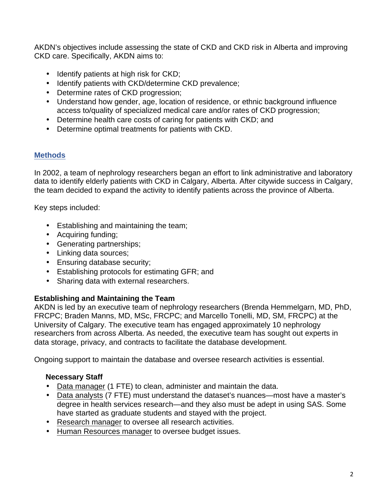AKDN's objectives include assessing the state of CKD and CKD risk in Alberta and improving CKD care. Specifically, AKDN aims to:

- Identify patients at high risk for CKD;
- Identify patients with CKD/determine CKD prevalence;
- Determine rates of CKD progression;
- • Understand how gender, age, location of residence, or ethnic background influence access to/quality of specialized medical care and/or rates of CKD progression;
- Determine health care costs of caring for patients with CKD; and
- Determine optimal treatments for patients with CKD.

## **Methods**

 In 2002, a team of nephrology researchers began an effort to link administrative and laboratory data to identify elderly patients with CKD in Calgary, Alberta. After citywide success in Calgary, the team decided to expand the activity to identify patients across the province of Alberta.

Key steps included:

- Establishing and maintaining the team;
- Acquiring funding;
- Generating partnerships;
- Linking data sources;
- Ensuring database security;
- Establishing protocols for estimating GFR; and
- Sharing data with external researchers.

## **Establishing and Maintaining the Team**

 AKDN is led by an executive team of nephrology researchers (Brenda Hemmelgarn, MD, PhD, FRCPC; Braden Manns, MD, MSc, FRCPC; and Marcello Tonelli, MD, SM, FRCPC) at the University of Calgary. The executive team has engaged approximately 10 nephrology researchers from across Alberta. As needed, the executive team has sought out experts in data storage, privacy, and contracts to facilitate the database development.

Ongoing support to maintain the database and oversee research activities is essential.

## **Necessary Staff**

- Data manager (1 FTE) to clean, administer and maintain the data.
- Data analysts (7 FTE) must understand the dataset's nuances —most have a master's degree in health services research —and they also must be adept in using SAS. Some have started as graduate students and stayed with the project.
- Research manager to oversee all research activities .
- Human Resources manager to oversee budget issues.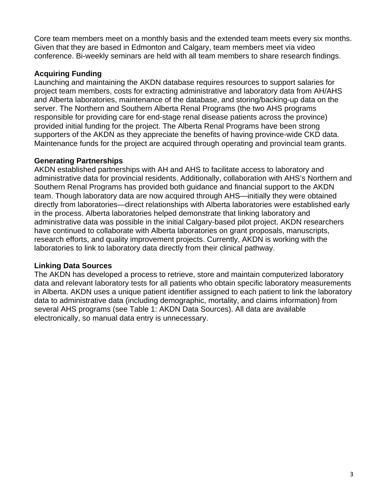Core team members meet on a monthly basis and the extended team meets every six months. Given that they are based in Edmonton and Calgary, team members meet via video conference. Bi-weekly seminars are held with all team members to share research findings.

### **Acquiring Funding**

 Launching and maintaining the AKDN database requires resources to support salaries for project team members, costs for extracting administrative and laboratory data from AH/AHS and Alberta laboratories, maintenance of the database, and storing/backing-up data on the server. The Northern and Southern Alberta Renal Programs (the two AHS programs responsible for providing care for end-stage renal disease patients across the province) provided initial funding for the project. The Alberta Renal Programs have been strong supporters of the AKDN as they appreciate the benefits of having province-wide CKD data. Maintenance funds for the project are acquired through operating and provincial team grants.

### **Generating Partnerships**

 AKDN established partnerships with AH and AHS to facilitate access to laboratory and administrative data for provincial residents. Additionally, collaboration with AHS's Northern and Southern Renal Programs has provided both guidance and financial support to the AKDN team. Though laboratory data are now acquired through AHS—initially they were obtained directly from laboratories—direct relationships with Alberta laboratories were established early in the process. Alberta laboratories helped demonstrate that linking laboratory and administrative data was possible in the initial Calgary-based pilot project. AKDN researchers have continued to collaborate with Alberta laboratories on grant proposals, manuscripts, research efforts, and quality improvement projects. Currently, AKDN is working with the laboratories to link to laboratory data directly from their clinical pathway.

## **Linking Data Sources**

 The AKDN has developed a process to retrieve, store and maintain computerized laboratory data and relevant laboratory tests for all patients who obtain specific laboratory measurements in Alberta. AKDN uses a unique patient identifier assigned to each patient to link the laboratory data to administrative data (including demographic, mortality, and claims information) from several AHS programs (see Table 1: AKDN Data Sources). All data are available electronically, so manual data entry is unnecessary.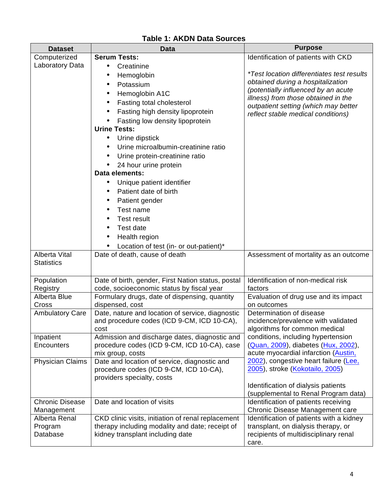| <b>Dataset</b>                     | <b>Data</b>                                                                            | <b>Purpose</b>                                                                |
|------------------------------------|----------------------------------------------------------------------------------------|-------------------------------------------------------------------------------|
| Computerized                       | <b>Serum Tests:</b>                                                                    | Identification of patients with CKD                                           |
| Laboratory Data                    | Creatinine                                                                             |                                                                               |
|                                    | Hemoglobin                                                                             | <i>*Test location differentiates test results</i>                             |
|                                    | Potassium                                                                              | obtained during a hospitalization                                             |
|                                    | Hemoglobin A1C                                                                         | (potentially influenced by an acute                                           |
|                                    | Fasting total cholesterol                                                              | illness) from those obtained in the                                           |
|                                    | Fasting high density lipoprotein                                                       | outpatient setting (which may better                                          |
|                                    | Fasting low density lipoprotein                                                        | reflect stable medical conditions)                                            |
|                                    | <b>Urine Tests:</b>                                                                    |                                                                               |
|                                    | Urine dipstick                                                                         |                                                                               |
|                                    | Urine microalbumin-creatinine ratio                                                    |                                                                               |
|                                    |                                                                                        |                                                                               |
|                                    | Urine protein-creatinine ratio                                                         |                                                                               |
|                                    | 24 hour urine protein<br>Data elements:                                                |                                                                               |
|                                    |                                                                                        |                                                                               |
|                                    | Unique patient identifier<br>Patient date of birth                                     |                                                                               |
|                                    |                                                                                        |                                                                               |
|                                    | Patient gender                                                                         |                                                                               |
|                                    | Test name                                                                              |                                                                               |
|                                    | <b>Test result</b>                                                                     |                                                                               |
|                                    | Test date                                                                              |                                                                               |
|                                    | Health region                                                                          |                                                                               |
|                                    | Location of test (in- or out-patient)*                                                 |                                                                               |
| Alberta Vital<br><b>Statistics</b> | Date of death, cause of death                                                          | Assessment of mortality as an outcome                                         |
|                                    |                                                                                        |                                                                               |
| Population                         | Date of birth, gender, First Nation status, postal                                     | Identification of non-medical risk                                            |
| Registry                           | code, socioeconomic status by fiscal year                                              | factors                                                                       |
| Alberta Blue                       | Formulary drugs, date of dispensing, quantity                                          | Evaluation of drug use and its impact                                         |
| Cross                              | dispensed, cost                                                                        | on outcomes                                                                   |
| <b>Ambulatory Care</b>             | Date, nature and location of service, diagnostic                                       | Determination of disease                                                      |
|                                    | and procedure codes (ICD 9-CM, ICD 10-CA),                                             | incidence/prevalence with validated                                           |
|                                    | cost                                                                                   | algorithms for common medical                                                 |
| Inpatient                          | Admission and discharge dates, diagnostic and                                          | conditions, including hypertension                                            |
| Encounters                         | procedure codes (ICD 9-CM, ICD 10-CA), case                                            | (Quan, 2009), diabetes (Hux, 2002),                                           |
|                                    | mix group, costs                                                                       | acute myocardial infarction (Austin,<br>2002), congestive heart failure (Lee, |
| <b>Physician Claims</b>            | Date and location of service, diagnostic and<br>procedure codes (ICD 9-CM, ICD 10-CA), | 2005), stroke (Kokotailo, 2005)                                               |
|                                    | providers specialty, costs                                                             |                                                                               |
|                                    |                                                                                        | Identification of dialysis patients                                           |
|                                    |                                                                                        | (supplemental to Renal Program data)                                          |
| <b>Chronic Disease</b>             | Date and location of visits                                                            | Identification of patients receiving                                          |
| Management                         |                                                                                        | Chronic Disease Management care                                               |
| Alberta Renal                      | CKD clinic visits, initiation of renal replacement                                     | Identification of patients with a kidney                                      |
| Program                            | therapy including modality and date; receipt of                                        | transplant, on dialysis therapy, or                                           |
| Database                           | kidney transplant including date                                                       | recipients of multidisciplinary renal                                         |
|                                    |                                                                                        | care.                                                                         |

## **Table 1: AKDN Data Sources**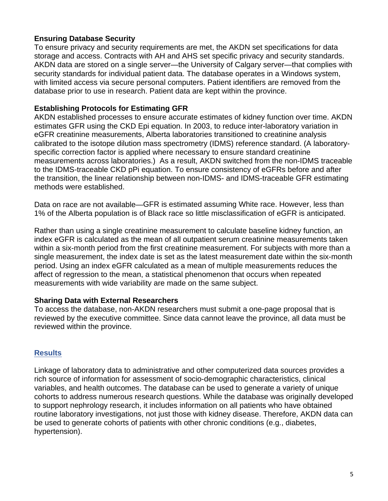## **Ensuring Database Security**

 To ensure privacy and security requirements are met, the AKDN set specifications for data storage and access. Contracts with AH and AHS set specific privacy and security standards. AKDN data are stored on a single server—the University of Calgary server—that complies with security standards for individual patient data. The database operates in a Windows system, with limited access via secure personal computers. Patient identifiers are removed from the database prior to use in research. Patient data are kept within the province.

### **Establishing Protocols for Estimating GFR**

 AKDN established processes to ensure accurate estimates of kidney function over time. AKDN estimates GFR using the CKD Epi equation. In 2003, to reduce inter-laboratory variation in eGFR creatinine measurements, Alberta laboratories transitioned to creatinine analysis calibrated to the isotope dilution mass spectrometry (IDMS) reference standard. (A laboratory- specific correction factor is applied where necessary to ensure standard creatinine measurements across laboratories.) As a result, AKDN switched from the non-IDMS traceable to the IDMS-traceable CKD pPi equation. To ensure consistency of eGFRs before and after the transition, the linear relationship between non-IDMS- and IDMS-traceable GFR estimating methods were established.

methods were established.<br>Data on race are not available—GFR is estimated assuming White race. However, less than 1% of the Alberta population is of Black race so little misclassification of eGFR is anticipated.

 Rather than using a single creatinine measurement to calculate baseline kidney function, an index eGFR is calculated as the mean of all outpatient serum creatinine measurements taken within a six-month period from the first creatinine measurement. For subjects with more than a single measurement, the index date is set as the latest measurement date within the six-month period. Using an index eGFR calculated as a mean of multiple measurements reduces the affect of regression to the mean, a statistical phenomenon that occurs when repeated measurements with wide variability are made on the same subject.

#### **Sharing Data with External Researchers**

 To access the database, non-AKDN researchers must submit a one-page proposal that is reviewed by the executive committee. Since data cannot leave the province, all data must be reviewed within the province.

### **Results**

 Linkage of laboratory data to administrative and other computerized data sources provides a rich source of information for assessment of socio-demographic characteristics, clinical variables, and health outcomes. The database can be used to generate a variety of unique cohorts to address numerous research questions. While the database was originally developed to support nephrology research, it includes information on all patients who have obtained routine laboratory investigations, not just those with kidney disease. Therefore, AKDN data can be used to generate cohorts of patients with other chronic conditions (e.g., diabetes, hypertension).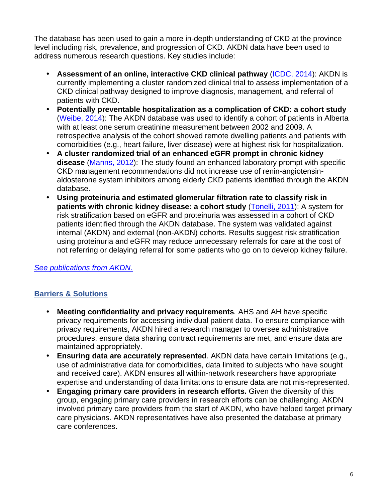The database has been used to gain a more in -depth understanding of CKD at the province level including risk, prevalence, and progression of CKD. AKDN data have been used to address numerous research questions. Key studies include:

- **Assessment of an online, interactive CKD clinical pathway** (ICDC, 2014): AKDN is currently implementing a cluster randomized clinical trial to assess implementation of a CKD clinical pathway designed to improve diagnosis, management, and referral of patients with CKD.
- **Potentially preventable hospitalization as a complication of CKD: a cohort study**  (Weibe, 2014): The AKDN database was used to identify a cohort of patients in Alberta with at least one serum creatinine measurement between 2002 and 2009. A retrospective analysis of the cohort showed remote dwelling patients and patients with comorbidities (e.g., heart failure, liver disease) were at highest risk for hospitalization.
- **A cluster randomized trial of an enhanced eGFR prompt in chronic kidney disease** (Manns, 2012): The study found an enhanced laboratory prompt with specific CKD management recommendations did not increase use of renin -angiotensinaldosterone system inhibitors among elderly CKD patients identified through the AKDN database.
- **Using proteinuria and estimated glomerular filtration rate to classify risk in patients with chronic kidney disease: a cohort study** (Tonelli, 2011): A system for risk stratification based on eGFR and proteinuria was assessed in a cohort of CKD patients identified through the AKDN database. The system was validated against internal (AKDN) and external (non-AKDN) cohorts. Results suggest risk stratification using proteinuria and eGFR may reduce unnecessary referrals for care at the cost of not referring or delaying referral for some patients who go on to develop kidney failure.

*See publications from AKDN.* 

## **Barriers & Solutions**

- **Meeting confidentiality and privacy requirements***.* AHS and AH have specific privacy requirements for accessing individual patient data. To ensure compliance with privacy requirements, AKDN hired a research manager to oversee administrative procedures, ensure data sharing contract requirements are met, and ensure data are maintained appropriately.
- **Ensuring data are accurately represented**. AKDN data have certain limitations (e.g., use of administrative data for comorbidities, data limited to subjects who have sought and received care). AKDN ensures all within-network researchers have appropriate expertise and understanding of data limitations to ensure data are not mis-represented.
- **Engaging primary care providers in research efforts.** Given the diversity of this group, engaging primary care providers in research efforts can be challenging. AKDN involved primary care providers from the start of AKDN, who have helped target primary care physicians. AKDN representatives have also presented the database at primary care conferences.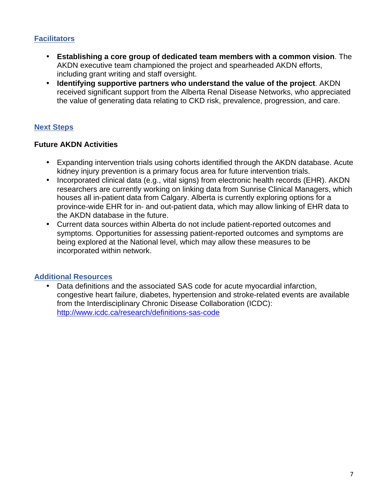## **Facilitators**

- **Establishing a core group of dedicated team members with a common vision**. The AKDN executive team championed the project and spearheaded AKDN efforts, including grant writing and staff oversight.
- **Identifying supportive partners who understand the value of the project**. AKDN received significant support from the Alberta Renal Disease Networks, who appreciated the value of generating data relating to CKD risk, prevalence, progression, and care.

## **Next Steps**

## **Future AKDN Activities**

- • Expanding intervention trials using cohorts identified through the AKDN database. Acute kidney injury prevention is a primary focus area for future intervention trials.
- • Incorporated clinical data (e.g., vital signs) from electronic health records (EHR). AKDN researchers are currently working on linking data from Sunrise Clinical Managers, which houses all in-patient data from Calgary. Alberta is currently exploring options for a province-wide EHR for in- and out-patient data, which may allow linking of EHR data to the AKDN database in the future.
- $\bullet$  being explored at the National level, which may allow these measures to be incorporated within network. • Current data sources within Alberta do not include patient-reported outcomes and symptoms. Opportunities for assessing patient-reported outcomes and symptoms are

## **Additional Resources**

 congestive heart failure, diabetes, hypertension and stroke-related events are available from the Interdisciplinary Chronic Disease Collaboration (ICDC): http://www.icdc.ca/research/definitions-sas-code • Data definitions and the associated SAS code for acute myocardial infarction,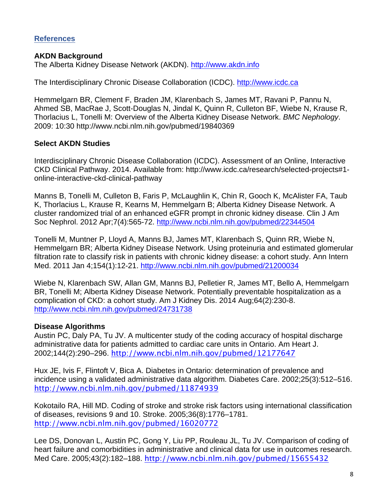## **References**

### **AKDN Background**

The Alberta Kidney Disease Network (AKDN). http://www.akdn.info

The Interdisciplinary Chronic Disease Collaboration (ICDC). http://www.icdc.ca

The Interdisciplinary Chronic Disease Collaboration (ICDC). <u>http://www.icdc.ca</u><br>Hemmelgarn BR, Clement F, Braden JM, Klarenbach S, James MT, Ravani P, Pannu N, Ahmed SB, MacRae J, Scott-Douglas N, Jindal K, Quinn R, Culleton BF, Wiebe N, Krause R, Thorlacius L, Tonelli M: Overview of the Alberta Kidney Disease Network. *BMC Nephology*. 2009: 10:30 http://www.ncbi.nlm.nih.gov/pubmed/19840369

## **Select AKDN Studies**

 Interdisciplinary Chronic Disease Collaboration (ICDC). Assessment of an Online, Interactive CKD Clinical Pathway. 2014. Available from: http://www.icdc.ca/research/selected-projects#1 online-interactive-ckd-clinical-pathway

 Manns B, Tonelli M, Culleton B, Faris P, McLaughlin K, Chin R, Gooch K, McAlister FA, Taub K, Thorlacius L, Krause R, Kearns M, Hemmelgarn B; Alberta Kidney Disease Network. A cluster randomized trial of an enhanced eGFR prompt in chronic kidney disease. Clin J Am Soc Nephrol. 2012 Apr;7(4):565-72. http://www.ncbi.nlm.nih.gov/pubmed/22344504

 Tonelli M, Muntner P, Lloyd A, Manns BJ, James MT, Klarenbach S, Quinn RR, Wiebe N, Hemmelgarn BR; Alberta Kidney Disease Network. Using proteinuria and estimated glomerular filtration rate to classify risk in patients with chronic kidney disease: a cohort study. Ann Intern Med. 2011 Jan 4;154(1):12-21. http://www.ncbi.nlm.nih.gov/pubmed/21200034

 Wiebe N, Klarenbach SW, Allan GM, Manns BJ, Pelletier R, James MT, Bello A, Hemmelgarn BR, Tonelli M; Alberta Kidney Disease Network. Potentially preventable hospitalization as a complication of CKD: a cohort study. Am J Kidney Dis. 2014 Aug;64(2):230-8. http://www.ncbi.nlm.nih.gov/pubmed/24731738

## **Disease Algorithms**

 Austin PC, Daly PA, Tu JV. A multicenter study of the coding accuracy of hospital discharge administrative data for patients admitted to cardiac care units in Ontario. Am Heart J. 2002;144(2):290–296. http://www.ncbi.nlm.nih.gov/pubmed/12177647

 Hux JE, Ivis F, Flintoft V, Bica A. Diabetes in Ontario: determination of prevalence and incidence using a validated administrative data algorithm. Diabetes Care. 2002;25(3):512–516. http://www.ncbi.nlm.nih.gov/pubmed/11874939

 Kokotailo RA, Hill MD. Coding of stroke and stroke risk factors using international classification of diseases, revisions 9 and 10. Stroke. 2005;36(8):1776–1781. http://www.ncbi.nlm.nih.gov/pubmed/16020772

 Lee DS, Donovan L, Austin PC, Gong Y, Liu PP, Rouleau JL, Tu JV. Comparison of coding of heart failure and comorbidities in administrative and clinical data for use in outcomes research. Med Care. 2005;43(2):182–188. http://www.ncbi.nlm.nih.gov/pubmed/15655432